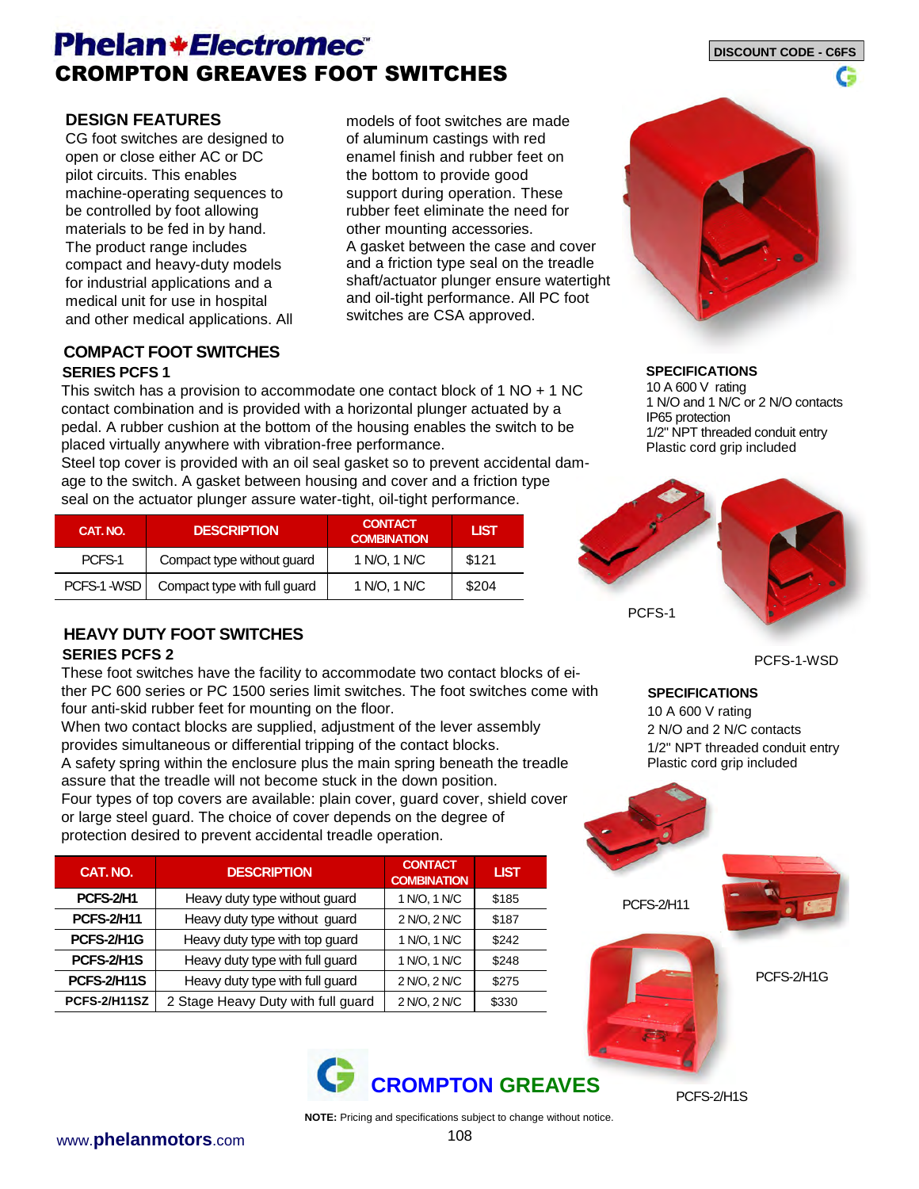# **Phelan**\*Electromec<sup>®</sup> CROMPTON GREAVES FOOT SWITCHES

## **DESIGN FEATURES**

CG foot switches are designed to open or close either AC or DC pilot circuits. This enables machine-operating sequences to be controlled by foot allowing materials to be fed in by hand. The product range includes compact and heavy-duty models for industrial applications and a medical unit for use in hospital and other medical applications. All models of foot switches are made of aluminum castings with red enamel finish and rubber feet on the bottom to provide good support during operation. These rubber feet eliminate the need for other mounting accessories. A gasket between the case and cover and a friction type seal on the treadle shaft/actuator plunger ensure watertight and oil-tight performance. All PC foot switches are CSA approved.

### **COMPACT FOOT SWITCHES SERIES PCFS 1**

This switch has a provision to accommodate one contact block of 1 NO + 1 NC contact combination and is provided with a horizontal plunger actuated by a pedal. A rubber cushion at the bottom of the housing enables the switch to be placed virtually anywhere with vibration-free performance.

Steel top cover is provided with an oil seal gasket so to prevent accidental damage to the switch. A gasket between housing and cover and a friction type seal on the actuator plunger assure water-tight, oil-tight performance.

| CAT. NO.   | <b>DESCRIPTION</b>           | <b>CONTACT</b><br><b>COMBINATION</b> | <b>LIST</b> |
|------------|------------------------------|--------------------------------------|-------------|
| PCFS-1     | Compact type without guard   | 1 N/O, 1 N/C                         | \$121       |
| PCFS-1-WSD | Compact type with full guard | 1 N/O, 1 N/C                         | \$204       |



**DISCOUNT CODE - C6FS** 

#### **SPECIFICATIONS**

10 A 600 V rating 1 N/O and 1 N/C or 2 N/O contacts IP65 protection 1/2" NPT threaded conduit entry Plastic cord grip included



### **HEAVY DUTY FOOT SWITCHES SERIES PCFS 2**

These foot switches have the facility to accommodate two contact blocks of either PC 600 series or PC 1500 series limit switches. The foot switches come with four anti-skid rubber feet for mounting on the floor.

When two contact blocks are supplied, adjustment of the lever assembly provides simultaneous or differential tripping of the contact blocks. A safety spring within the enclosure plus the main spring beneath the treadle

assure that the treadle will not become stuck in the down position.

Four types of top covers are available: plain cover, guard cover, shield cover or large steel guard. The choice of cover depends on the degree of protection desired to prevent accidental treadle operation.

| CAT. NO.            | <b>DESCRIPTION</b>                 | <b>CONTACT</b><br><b>COMBINATION</b> | <b>LIST</b> |
|---------------------|------------------------------------|--------------------------------------|-------------|
| PCFS-2/H1           | Heavy duty type without guard      | 1 N/O, 1 N/C                         | \$185       |
| <b>PCFS-2/H11</b>   | Heavy duty type without guard      | 2 N/O, 2 N/C                         | \$187       |
| PCFS-2/H1G          | Heavy duty type with top guard     | 1 N/O, 1 N/C                         | \$242       |
| PCFS-2/H1S          | Heavy duty type with full guard    | 1 N/O, 1 N/C                         | \$248       |
| PCFS-2/H11S         | Heavy duty type with full guard    | 2 N/O, 2 N/C                         | \$275       |
| <b>PCFS-2/H11SZ</b> | 2 Stage Heavy Duty with full guard | 2 N/O, 2 N/C                         | \$330       |



PCFS-1-WSD

### **SPECIFICATIONS**

10 A 600 V rating 2 N/O and 2 N/C contacts 1/2" NPT threaded conduit entry Plastic cord grip included



**NOTE:** Pricing and specifications subject to change without notice.